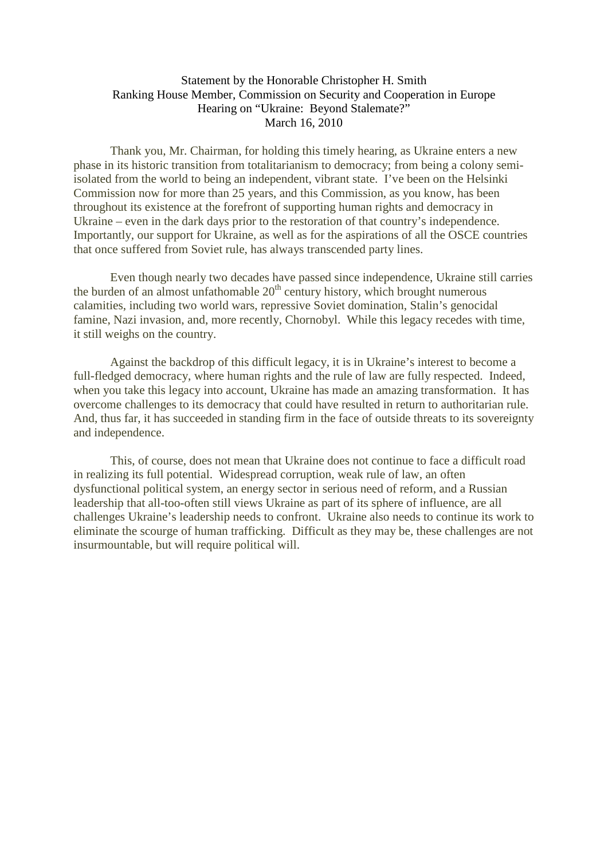## Statement by the Honorable Christopher H. Smith Ranking House Member, Commission on Security and Cooperation in Europe Hearing on "Ukraine: Beyond Stalemate?" March 16, 2010

Thank you, Mr. Chairman, for holding this timely hearing, as Ukraine enters a new phase in its historic transition from totalitarianism to democracy; from being a colony semiisolated from the world to being an independent, vibrant state. I've been on the Helsinki Commission now for more than 25 years, and this Commission, as you know, has been throughout its existence at the forefront of supporting human rights and democracy in Ukraine – even in the dark days prior to the restoration of that country's independence. Importantly, our support for Ukraine, as well as for the aspirations of all the OSCE countries that once suffered from Soviet rule, has always transcended party lines.

Even though nearly two decades have passed since independence, Ukraine still carries the burden of an almost unfathomable  $20<sup>th</sup>$  century history, which brought numerous calamities, including two world wars, repressive Soviet domination, Stalin's genocidal famine, Nazi invasion, and, more recently, Chornobyl. While this legacy recedes with time, it still weighs on the country.

Against the backdrop of this difficult legacy, it is in Ukraine's interest to become a full-fledged democracy, where human rights and the rule of law are fully respected. Indeed, when you take this legacy into account, Ukraine has made an amazing transformation. It has overcome challenges to its democracy that could have resulted in return to authoritarian rule. And, thus far, it has succeeded in standing firm in the face of outside threats to its sovereignty and independence.

This, of course, does not mean that Ukraine does not continue to face a difficult road in realizing its full potential. Widespread corruption, weak rule of law, an often dysfunctional political system, an energy sector in serious need of reform, and a Russian leadership that all-too-often still views Ukraine as part of its sphere of influence, are all challenges Ukraine's leadership needs to confront. Ukraine also needs to continue its work to eliminate the scourge of human trafficking. Difficult as they may be, these challenges are not insurmountable, but will require political will.